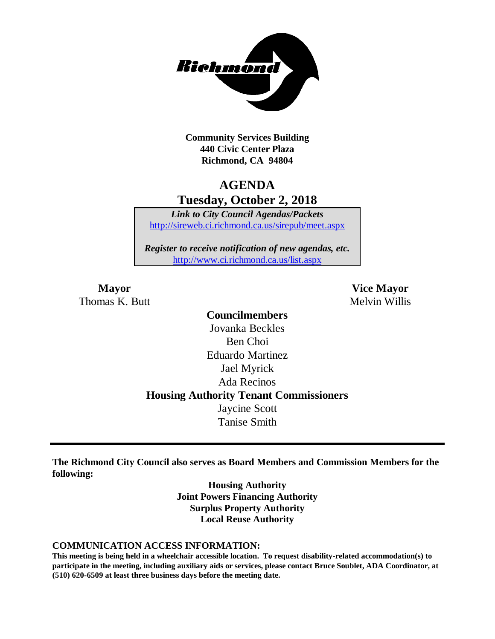

**Community Services Building 440 Civic Center Plaza Richmond, CA 94804**

## **AGENDA Tuesday, October 2, 2018**

*Link to City Council Agendas/Packets* <http://sireweb.ci.richmond.ca.us/sirepub/meet.aspx>

*Register to receive notification of new agendas, etc.* <http://www.ci.richmond.ca.us/list.aspx>

Thomas K. Butt Melvin Willis

**Mayor Vice Mayor**

**Councilmembers** Jovanka Beckles Ben Choi Eduardo Martinez Jael Myrick Ada Recinos **Housing Authority Tenant Commissioners** Jaycine Scott Tanise Smith

**The Richmond City Council also serves as Board Members and Commission Members for the following:**

> **Housing Authority Joint Powers Financing Authority Surplus Property Authority Local Reuse Authority**

#### **COMMUNICATION ACCESS INFORMATION:**

**This meeting is being held in a wheelchair accessible location. To request disability-related accommodation(s) to participate in the meeting, including auxiliary aids or services, please contact Bruce Soublet, ADA Coordinator, at (510) 620-6509 at least three business days before the meeting date.**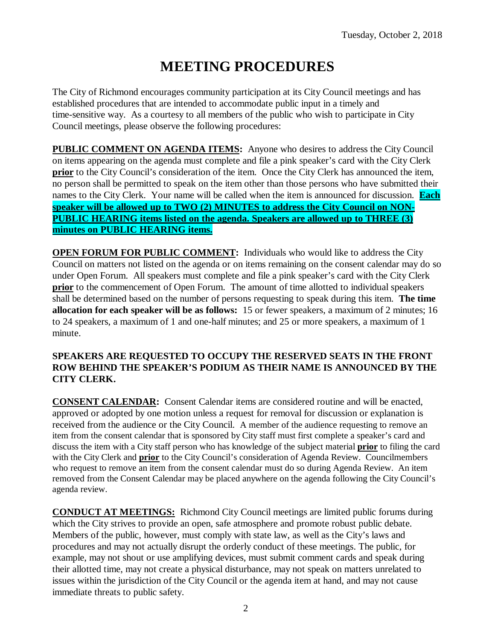# **MEETING PROCEDURES**

The City of Richmond encourages community participation at its City Council meetings and has established procedures that are intended to accommodate public input in a timely and time-sensitive way. As a courtesy to all members of the public who wish to participate in City Council meetings, please observe the following procedures:

**PUBLIC COMMENT ON AGENDA ITEMS:** Anyone who desires to address the City Council on items appearing on the agenda must complete and file a pink speaker's card with the City Clerk **prior** to the City Council's consideration of the item. Once the City Clerk has announced the item, no person shall be permitted to speak on the item other than those persons who have submitted their names to the City Clerk. Your name will be called when the item is announced for discussion. **Each speaker will be allowed up to TWO (2) MINUTES to address the City Council on NON-PUBLIC HEARING items listed on the agenda. Speakers are allowed up to THREE (3) minutes on PUBLIC HEARING items.**

**OPEN FORUM FOR PUBLIC COMMENT:** Individuals who would like to address the City Council on matters not listed on the agenda or on items remaining on the consent calendar may do so under Open Forum. All speakers must complete and file a pink speaker's card with the City Clerk **prior** to the commencement of Open Forum. The amount of time allotted to individual speakers shall be determined based on the number of persons requesting to speak during this item. **The time allocation for each speaker will be as follows:** 15 or fewer speakers, a maximum of 2 minutes; 16 to 24 speakers, a maximum of 1 and one-half minutes; and 25 or more speakers, a maximum of 1 minute.

#### **SPEAKERS ARE REQUESTED TO OCCUPY THE RESERVED SEATS IN THE FRONT ROW BEHIND THE SPEAKER'S PODIUM AS THEIR NAME IS ANNOUNCED BY THE CITY CLERK.**

**CONSENT CALENDAR:** Consent Calendar items are considered routine and will be enacted, approved or adopted by one motion unless a request for removal for discussion or explanation is received from the audience or the City Council. A member of the audience requesting to remove an item from the consent calendar that is sponsored by City staff must first complete a speaker's card and discuss the item with a City staff person who has knowledge of the subject material **prior** to filing the card with the City Clerk and **prior** to the City Council's consideration of Agenda Review. Councilmembers who request to remove an item from the consent calendar must do so during Agenda Review. An item removed from the Consent Calendar may be placed anywhere on the agenda following the City Council's agenda review.

**CONDUCT AT MEETINGS:** Richmond City Council meetings are limited public forums during which the City strives to provide an open, safe atmosphere and promote robust public debate. Members of the public, however, must comply with state law, as well as the City's laws and procedures and may not actually disrupt the orderly conduct of these meetings. The public, for example, may not shout or use amplifying devices, must submit comment cards and speak during their allotted time, may not create a physical disturbance, may not speak on matters unrelated to issues within the jurisdiction of the City Council or the agenda item at hand, and may not cause immediate threats to public safety.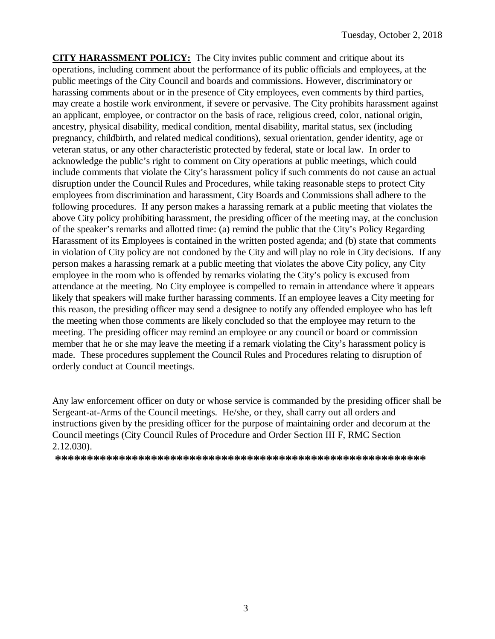**CITY HARASSMENT POLICY:** The City invites public comment and critique about its operations, including comment about the performance of its public officials and employees, at the public meetings of the City Council and boards and commissions. However, discriminatory or harassing comments about or in the presence of City employees, even comments by third parties, may create a hostile work environment, if severe or pervasive. The City prohibits harassment against an applicant, employee, or contractor on the basis of race, religious creed, color, national origin, ancestry, physical disability, medical condition, mental disability, marital status, sex (including pregnancy, childbirth, and related medical conditions), sexual orientation, gender identity, age or veteran status, or any other characteristic protected by federal, state or local law. In order to acknowledge the public's right to comment on City operations at public meetings, which could include comments that violate the City's harassment policy if such comments do not cause an actual disruption under the Council Rules and Procedures, while taking reasonable steps to protect City employees from discrimination and harassment, City Boards and Commissions shall adhere to the following procedures. If any person makes a harassing remark at a public meeting that violates the above City policy prohibiting harassment, the presiding officer of the meeting may, at the conclusion of the speaker's remarks and allotted time: (a) remind the public that the City's Policy Regarding Harassment of its Employees is contained in the written posted agenda; and (b) state that comments in violation of City policy are not condoned by the City and will play no role in City decisions. If any person makes a harassing remark at a public meeting that violates the above City policy, any City employee in the room who is offended by remarks violating the City's policy is excused from attendance at the meeting. No City employee is compelled to remain in attendance where it appears likely that speakers will make further harassing comments. If an employee leaves a City meeting for this reason, the presiding officer may send a designee to notify any offended employee who has left the meeting when those comments are likely concluded so that the employee may return to the meeting. The presiding officer may remind an employee or any council or board or commission member that he or she may leave the meeting if a remark violating the City's harassment policy is made. These procedures supplement the Council Rules and Procedures relating to disruption of orderly conduct at Council meetings.

Any law enforcement officer on duty or whose service is commanded by the presiding officer shall be Sergeant-at-Arms of the Council meetings. He/she, or they, shall carry out all orders and instructions given by the presiding officer for the purpose of maintaining order and decorum at the Council meetings (City Council Rules of Procedure and Order Section III F, RMC Section 2.12.030).

**\*\*\*\*\*\*\*\*\*\*\*\*\*\*\*\*\*\*\*\*\*\*\*\*\*\*\*\*\*\*\*\*\*\*\*\*\*\*\*\*\*\*\*\*\*\*\*\*\*\*\*\*\*\*\*\*\*\***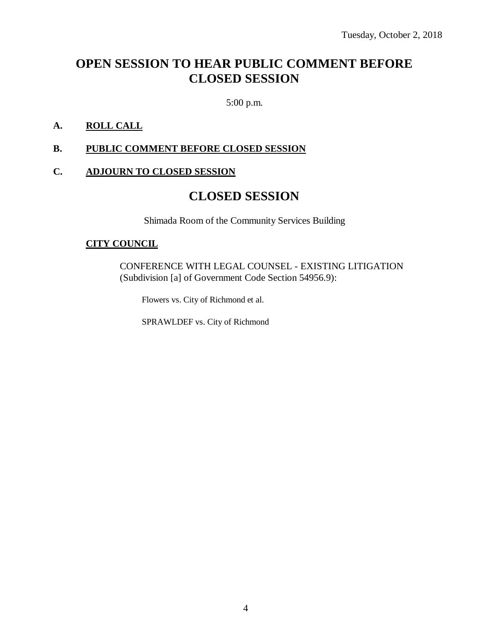## **OPEN SESSION TO HEAR PUBLIC COMMENT BEFORE CLOSED SESSION**

5:00 p.m.

### **A. ROLL CALL**

#### **B. PUBLIC COMMENT BEFORE CLOSED SESSION**

#### **C. ADJOURN TO CLOSED SESSION**

## **CLOSED SESSION**

Shimada Room of the Community Services Building

#### **CITY COUNCIL**

CONFERENCE WITH LEGAL COUNSEL - EXISTING LITIGATION (Subdivision [a] of Government Code Section 54956.9):

Flowers vs. City of Richmond et al.

SPRAWLDEF vs. City of Richmond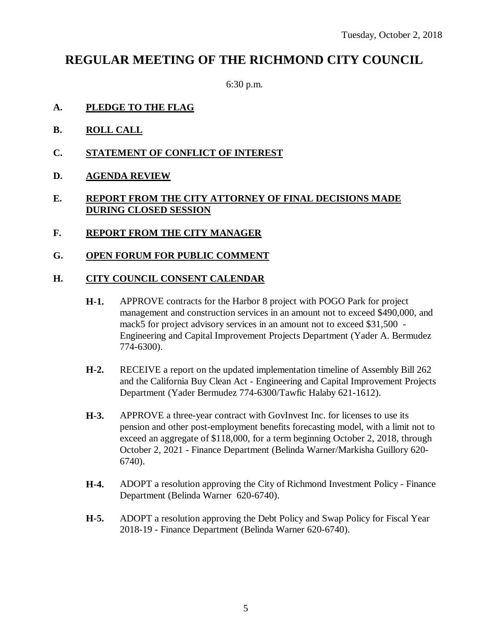## **REGULAR MEETING OF THE RICHMOND CITY COUNCIL**

6:30 p.m.

- **A. PLEDGE TO THE FLAG**
- **B. ROLL CALL**
- **C. STATEMENT OF CONFLICT OF INTEREST**
- **D. AGENDA REVIEW**

### **E. REPORT FROM THE CITY ATTORNEY OF FINAL DECISIONS MADE DURING CLOSED SESSION**

- **F. REPORT FROM THE CITY MANAGER**
- **G. OPEN FORUM FOR PUBLIC COMMENT**

#### **H. CITY COUNCIL CONSENT CALENDAR**

- **H-1.** APPROVE contracts for the Harbor 8 project with POGO Park for project management and construction services in an amount not to exceed \$490,000, and mack5 for project advisory services in an amount not to exceed \$31,500 - Engineering and Capital Improvement Projects Department (Yader A. Bermudez 774-6300).
- **H-2.** RECEIVE a report on the updated implementation timeline of Assembly Bill 262 and the California Buy Clean Act - Engineering and Capital Improvement Projects Department (Yader Bermudez 774-6300/Tawfic Halaby 621-1612).
- **H-3.** APPROVE a three-year contract with GovInvest Inc. for licenses to use its pension and other post-employment benefits forecasting model, with a limit not to exceed an aggregate of \$118,000, for a term beginning October 2, 2018, through October 2, 2021 - Finance Department (Belinda Warner/Markisha Guillory 620- 6740).
- **H-4.** ADOPT a resolution approving the City of Richmond Investment Policy Finance Department (Belinda Warner 620-6740).
- **H-5.** ADOPT a resolution approving the Debt Policy and Swap Policy for Fiscal Year 2018-19 - Finance Department (Belinda Warner 620-6740).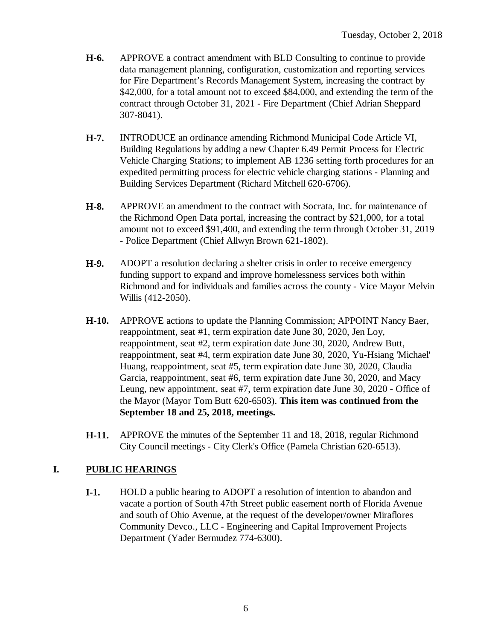- **H-6.** APPROVE a contract amendment with BLD Consulting to continue to provide data management planning, configuration, customization and reporting services for Fire Department's Records Management System, increasing the contract by \$42,000, for a total amount not to exceed \$84,000, and extending the term of the contract through October 31, 2021 - Fire Department (Chief Adrian Sheppard 307-8041).
- **H-7.** INTRODUCE an ordinance amending Richmond Municipal Code Article VI, Building Regulations by adding a new Chapter 6.49 Permit Process for Electric Vehicle Charging Stations; to implement AB 1236 setting forth procedures for an expedited permitting process for electric vehicle charging stations - Planning and Building Services Department (Richard Mitchell 620-6706).
- **H-8.** APPROVE an amendment to the contract with Socrata, Inc. for maintenance of the Richmond Open Data portal, increasing the contract by \$21,000, for a total amount not to exceed \$91,400, and extending the term through October 31, 2019 - Police Department (Chief Allwyn Brown 621-1802).
- **H-9.** ADOPT a resolution declaring a shelter crisis in order to receive emergency funding support to expand and improve homelessness services both within Richmond and for individuals and families across the county - Vice Mayor Melvin Willis (412-2050).
- **H-10.** APPROVE actions to update the Planning Commission; APPOINT Nancy Baer, reappointment, seat #1, term expiration date June 30, 2020, Jen Loy, reappointment, seat #2, term expiration date June 30, 2020, Andrew Butt, reappointment, seat #4, term expiration date June 30, 2020, Yu-Hsiang 'Michael' Huang, reappointment, seat #5, term expiration date June 30, 2020, Claudia Garcia, reappointment, seat #6, term expiration date June 30, 2020, and Macy Leung, new appointment, seat #7, term expiration date June 30, 2020 - Office of the Mayor (Mayor Tom Butt 620-6503). **This item was continued from the September 18 and 25, 2018, meetings.**
- **H-11.** APPROVE the minutes of the September 11 and 18, 2018, regular Richmond City Council meetings - City Clerk's Office (Pamela Christian 620-6513).

### **I. PUBLIC HEARINGS**

**I-1.** HOLD a public hearing to ADOPT a resolution of intention to abandon and vacate a portion of South 47th Street public easement north of Florida Avenue and south of Ohio Avenue, at the request of the developer/owner Miraflores Community Devco., LLC - Engineering and Capital Improvement Projects Department (Yader Bermudez 774-6300).